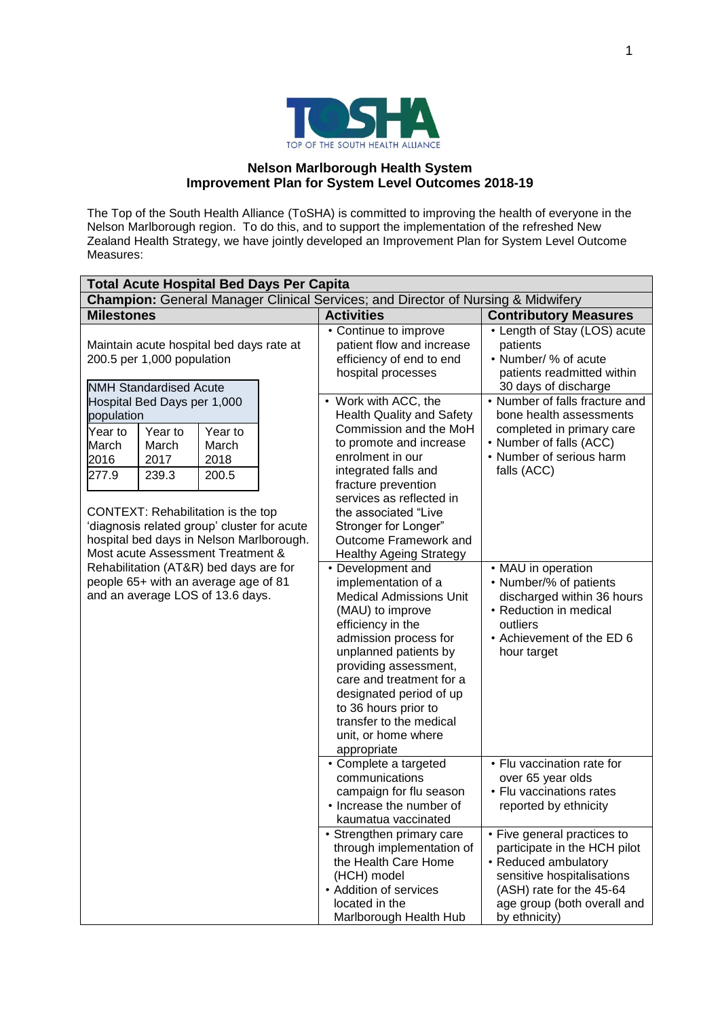

## **Nelson Marlborough Health System Improvement Plan for System Level Outcomes 2018-19**

The Top of the South Health Alliance (ToSHA) is committed to improving the health of everyone in the Nelson Marlborough region. To do this, and to support the implementation of the refreshed New Zealand Health Strategy, we have jointly developed an Improvement Plan for System Level Outcome Measures:

| <b>Total Acute Hospital Bed Days Per Capita</b>                                                                                                                    |                                   |                                   |  |                                                                                                                                                                                                                                                                                                                                                |                                                                                                                                                                                               |  |
|--------------------------------------------------------------------------------------------------------------------------------------------------------------------|-----------------------------------|-----------------------------------|--|------------------------------------------------------------------------------------------------------------------------------------------------------------------------------------------------------------------------------------------------------------------------------------------------------------------------------------------------|-----------------------------------------------------------------------------------------------------------------------------------------------------------------------------------------------|--|
|                                                                                                                                                                    |                                   |                                   |  | Champion: General Manager Clinical Services; and Director of Nursing & Midwifery                                                                                                                                                                                                                                                               |                                                                                                                                                                                               |  |
| <b>Milestones</b>                                                                                                                                                  |                                   |                                   |  | <b>Activities</b>                                                                                                                                                                                                                                                                                                                              | <b>Contributory Measures</b>                                                                                                                                                                  |  |
| Maintain acute hospital bed days rate at<br>200.5 per 1,000 population<br><b>NMH Standardised Acute</b>                                                            |                                   |                                   |  | • Continue to improve<br>patient flow and increase<br>efficiency of end to end<br>hospital processes                                                                                                                                                                                                                                           | • Length of Stay (LOS) acute<br>patients<br>• Number/ % of acute<br>patients readmitted within<br>30 days of discharge                                                                        |  |
|                                                                                                                                                                    | Hospital Bed Days per 1,000       |                                   |  | • Work with ACC, the                                                                                                                                                                                                                                                                                                                           | • Number of falls fracture and                                                                                                                                                                |  |
| population                                                                                                                                                         |                                   |                                   |  | <b>Health Quality and Safety</b>                                                                                                                                                                                                                                                                                                               | bone health assessments                                                                                                                                                                       |  |
| Year to<br>March<br>2016<br>277.9                                                                                                                                  | Year to<br>March<br>2017<br>239.3 | Year to<br>March<br>2018<br>200.5 |  | Commission and the MoH<br>to promote and increase<br>enrolment in our<br>integrated falls and<br>fracture prevention                                                                                                                                                                                                                           | completed in primary care<br>• Number of falls (ACC)<br>• Number of serious harm<br>falls (ACC)                                                                                               |  |
| CONTEXT: Rehabilitation is the top<br>'diagnosis related group' cluster for acute<br>hospital bed days in Nelson Marlborough.<br>Most acute Assessment Treatment & |                                   |                                   |  | services as reflected in<br>the associated "Live<br>Stronger for Longer"<br>Outcome Framework and<br><b>Healthy Ageing Strategy</b>                                                                                                                                                                                                            |                                                                                                                                                                                               |  |
| Rehabilitation (AT&R) bed days are for<br>people 65+ with an average age of 81<br>and an average LOS of 13.6 days.                                                 |                                   |                                   |  | • Development and<br>implementation of a<br><b>Medical Admissions Unit</b><br>(MAU) to improve<br>efficiency in the<br>admission process for<br>unplanned patients by<br>providing assessment,<br>care and treatment for a<br>designated period of up<br>to 36 hours prior to<br>transfer to the medical<br>unit, or home where<br>appropriate | • MAU in operation<br>• Number/% of patients<br>discharged within 36 hours<br>• Reduction in medical<br>outliers<br>• Achievement of the ED 6<br>hour target                                  |  |
|                                                                                                                                                                    |                                   |                                   |  | • Complete a targeted<br>communications<br>campaign for flu season<br>• Increase the number of<br>kaumatua vaccinated                                                                                                                                                                                                                          | • Flu vaccination rate for<br>over 65 year olds<br>• Flu vaccinations rates<br>reported by ethnicity                                                                                          |  |
|                                                                                                                                                                    |                                   |                                   |  | • Strengthen primary care<br>through implementation of<br>the Health Care Home<br>(HCH) model<br>• Addition of services<br>located in the<br>Marlborough Health Hub                                                                                                                                                                            | • Five general practices to<br>participate in the HCH pilot<br>• Reduced ambulatory<br>sensitive hospitalisations<br>(ASH) rate for the 45-64<br>age group (both overall and<br>by ethnicity) |  |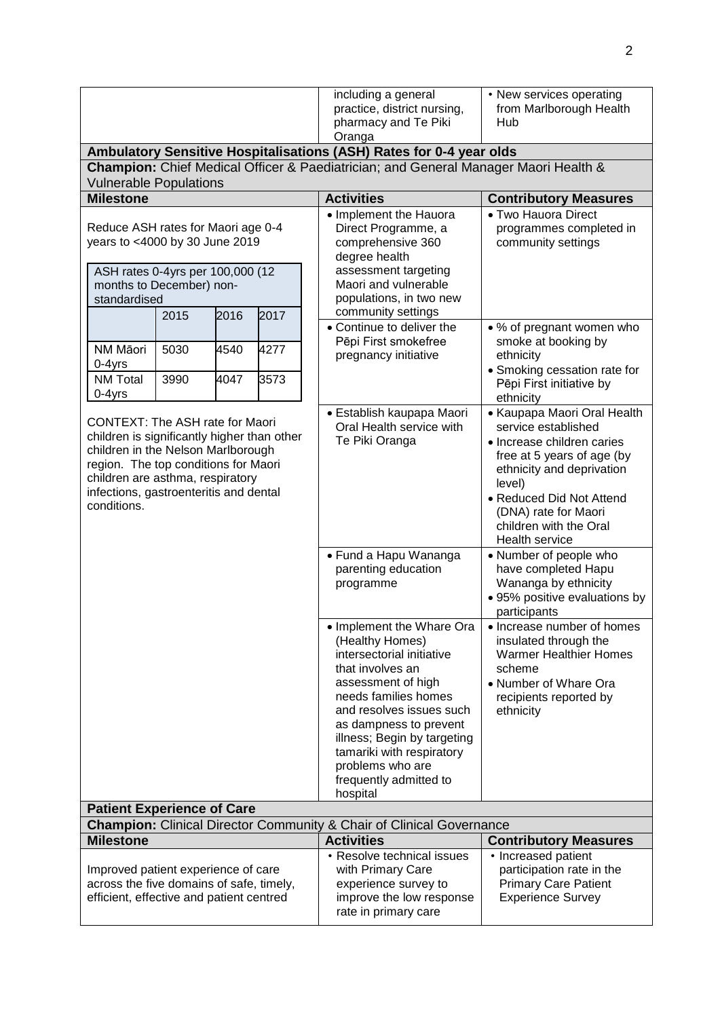|                                                                                                                                                                                                                                                                  |              |              |              | including a general<br>practice, district nursing,<br>pharmacy and Te Piki<br>Oranga                                                                                                                                                                                                                                    | • New services operating<br>from Marlborough Health<br>Hub                                                                                                                                                                                            |  |
|------------------------------------------------------------------------------------------------------------------------------------------------------------------------------------------------------------------------------------------------------------------|--------------|--------------|--------------|-------------------------------------------------------------------------------------------------------------------------------------------------------------------------------------------------------------------------------------------------------------------------------------------------------------------------|-------------------------------------------------------------------------------------------------------------------------------------------------------------------------------------------------------------------------------------------------------|--|
|                                                                                                                                                                                                                                                                  |              |              |              | Ambulatory Sensitive Hospitalisations (ASH) Rates for 0-4 year olds                                                                                                                                                                                                                                                     |                                                                                                                                                                                                                                                       |  |
| Champion: Chief Medical Officer & Paediatrician; and General Manager Maori Health &<br><b>Vulnerable Populations</b>                                                                                                                                             |              |              |              |                                                                                                                                                                                                                                                                                                                         |                                                                                                                                                                                                                                                       |  |
| <b>Milestone</b>                                                                                                                                                                                                                                                 |              |              |              | <b>Activities</b>                                                                                                                                                                                                                                                                                                       | <b>Contributory Measures</b>                                                                                                                                                                                                                          |  |
| Reduce ASH rates for Maori age 0-4<br>years to <4000 by 30 June 2019<br>ASH rates 0-4yrs per 100,000 (12<br>months to December) non-<br>standardised                                                                                                             |              |              |              | • Implement the Hauora<br>Direct Programme, a<br>comprehensive 360<br>degree health<br>assessment targeting<br>Maori and vulnerable<br>populations, in two new                                                                                                                                                          | • Two Hauora Direct<br>programmes completed in<br>community settings                                                                                                                                                                                  |  |
|                                                                                                                                                                                                                                                                  | 2015         | 2016         | 2017         | community settings<br>• Continue to deliver the                                                                                                                                                                                                                                                                         | • % of pregnant women who                                                                                                                                                                                                                             |  |
| NM Māori<br>0-4yrs<br><b>NM Total</b>                                                                                                                                                                                                                            | 5030<br>3990 | 4540<br>4047 | 4277<br>3573 | Pēpi First smokefree<br>smoke at booking by<br>pregnancy initiative<br>ethnicity<br>• Smoking cessation rate for                                                                                                                                                                                                        |                                                                                                                                                                                                                                                       |  |
| $0-4$ yrs                                                                                                                                                                                                                                                        |              |              |              |                                                                                                                                                                                                                                                                                                                         | Pēpi First initiative by<br>ethnicity                                                                                                                                                                                                                 |  |
| <b>CONTEXT: The ASH rate for Maori</b><br>children is significantly higher than other<br>children in the Nelson Marlborough<br>region. The top conditions for Maori<br>children are asthma, respiratory<br>infections, gastroenteritis and dental<br>conditions. |              |              |              | • Establish kaupapa Maori<br>Oral Health service with<br>Te Piki Oranga                                                                                                                                                                                                                                                 | • Kaupapa Maori Oral Health<br>service established<br>• Increase children caries<br>free at 5 years of age (by<br>ethnicity and deprivation<br>level)<br>• Reduced Did Not Attend<br>(DNA) rate for Maori<br>children with the Oral<br>Health service |  |
|                                                                                                                                                                                                                                                                  |              |              |              | • Fund a Hapu Wananga<br>parenting education<br>programme                                                                                                                                                                                                                                                               | • Number of people who<br>have completed Hapu<br>Wananga by ethnicity<br>· 95% positive evaluations by<br>participants                                                                                                                                |  |
|                                                                                                                                                                                                                                                                  |              |              |              | • Implement the Whare Ora<br>(Healthy Homes)<br>intersectorial initiative<br>that involves an<br>assessment of high<br>needs families homes<br>and resolves issues such<br>as dampness to prevent<br>illness; Begin by targeting<br>tamariki with respiratory<br>problems who are<br>frequently admitted to<br>hospital | • Increase number of homes<br>insulated through the<br><b>Warmer Healthier Homes</b><br>scheme<br>• Number of Whare Ora<br>recipients reported by<br>ethnicity                                                                                        |  |
| <b>Patient Experience of Care</b>                                                                                                                                                                                                                                |              |              |              |                                                                                                                                                                                                                                                                                                                         |                                                                                                                                                                                                                                                       |  |
| <b>Champion:</b> Clinical Director Community & Chair of Clinical Governance<br><b>Milestone</b>                                                                                                                                                                  |              |              |              | <b>Activities</b>                                                                                                                                                                                                                                                                                                       | <b>Contributory Measures</b>                                                                                                                                                                                                                          |  |
| Improved patient experience of care<br>across the five domains of safe, timely,<br>efficient, effective and patient centred                                                                                                                                      |              |              |              | • Resolve technical issues<br>with Primary Care<br>experience survey to<br>improve the low response<br>rate in primary care                                                                                                                                                                                             | • Increased patient<br>participation rate in the<br><b>Primary Care Patient</b><br><b>Experience Survey</b>                                                                                                                                           |  |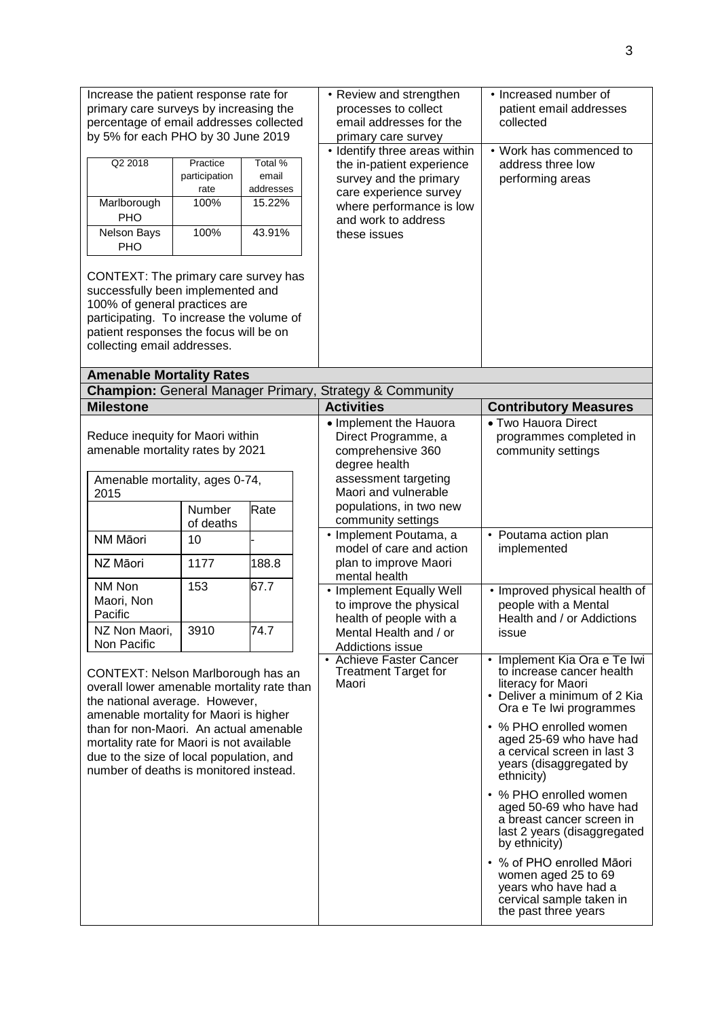| Increase the patient response rate for<br>primary care surveys by increasing the<br>percentage of email addresses collected<br>by 5% for each PHO by 30 June 2019<br>Q2 2018<br>Practice<br>Total %<br>email<br>participation<br>addresses<br>rate<br>Marlborough<br>100%<br>15.22%<br>PHO<br>Nelson Bays<br>100%<br>43.91%<br>PHO<br>CONTEXT: The primary care survey has<br>successfully been implemented and<br>100% of general practices are<br>participating. To increase the volume of<br>patient responses the focus will be on<br>collecting email addresses. |                                                  |                               |  | • Review and strengthen<br>processes to collect<br>email addresses for the<br>primary care survey<br>• Identify three areas within<br>the in-patient experience<br>survey and the primary<br>care experience survey<br>where performance is low<br>and work to address<br>these issues                                                                                                                                                                                                  | • Increased number of<br>patient email addresses<br>collected<br>• Work has commenced to<br>address three low<br>performing areas                                                                                                                                                                                                                                                                                                                                         |
|-----------------------------------------------------------------------------------------------------------------------------------------------------------------------------------------------------------------------------------------------------------------------------------------------------------------------------------------------------------------------------------------------------------------------------------------------------------------------------------------------------------------------------------------------------------------------|--------------------------------------------------|-------------------------------|--|-----------------------------------------------------------------------------------------------------------------------------------------------------------------------------------------------------------------------------------------------------------------------------------------------------------------------------------------------------------------------------------------------------------------------------------------------------------------------------------------|---------------------------------------------------------------------------------------------------------------------------------------------------------------------------------------------------------------------------------------------------------------------------------------------------------------------------------------------------------------------------------------------------------------------------------------------------------------------------|
| <b>Amenable Mortality Rates</b>                                                                                                                                                                                                                                                                                                                                                                                                                                                                                                                                       |                                                  |                               |  |                                                                                                                                                                                                                                                                                                                                                                                                                                                                                         |                                                                                                                                                                                                                                                                                                                                                                                                                                                                           |
| <b>Milestone</b>                                                                                                                                                                                                                                                                                                                                                                                                                                                                                                                                                      |                                                  |                               |  | Champion: General Manager Primary, Strategy & Community<br><b>Activities</b>                                                                                                                                                                                                                                                                                                                                                                                                            | <b>Contributory Measures</b>                                                                                                                                                                                                                                                                                                                                                                                                                                              |
| Reduce inequity for Maori within<br>amenable mortality rates by 2021<br>Amenable mortality, ages 0-74,<br>2015<br>NM Māori<br>NZ Māori<br>NM Non<br>Maori, Non<br>Pacific<br>NZ Non Maori,<br>Non Pacific<br>CONTEXT: Nelson Marlborough has an<br>overall lower amenable mortality rate than<br>the national average. However,<br>amenable mortality for Maori is higher<br>than for non-Maori. An actual amenable<br>mortality rate for Maori is not available<br>due to the size of local population, and                                                          | Number<br>of deaths<br>10<br>1177<br>153<br>3910 | Rate<br>188.8<br>67.7<br>74.7 |  | • Implement the Hauora<br>Direct Programme, a<br>comprehensive 360<br>degree health<br>assessment targeting<br>Maori and vulnerable<br>populations, in two new<br>community settings<br>• Implement Poutama, a<br>model of care and action<br>plan to improve Maori<br>mental health<br>• Implement Equally Well<br>to improve the physical<br>health of people with a<br>Mental Health and / or<br>Addictions issue<br>• Achieve Faster Cancer<br><b>Treatment Target for</b><br>Maori | • Two Hauora Direct<br>programmes completed in<br>community settings<br>• Poutama action plan<br>implemented<br>• Improved physical health of<br>people with a Mental<br>Health and / or Addictions<br>issue<br>• Implement Kia Ora e Te Iwi<br>to increase cancer health<br>literacy for Maori<br>• Deliver a minimum of 2 Kia<br>Ora e Te Iwi programmes<br>• % PHO enrolled women<br>aged 25-69 who have had<br>a cervical screen in last 3<br>years (disaggregated by |
| number of deaths is monitored instead.                                                                                                                                                                                                                                                                                                                                                                                                                                                                                                                                |                                                  |                               |  |                                                                                                                                                                                                                                                                                                                                                                                                                                                                                         | ethnicity)<br>• % PHO enrolled women<br>aged 50-69 who have had<br>a breast cancer screen in<br>last 2 years (disaggregated<br>by ethnicity)<br>• % of PHO enrolled Māori<br>women aged 25 to 69<br>years who have had a<br>cervical sample taken in<br>the past three years                                                                                                                                                                                              |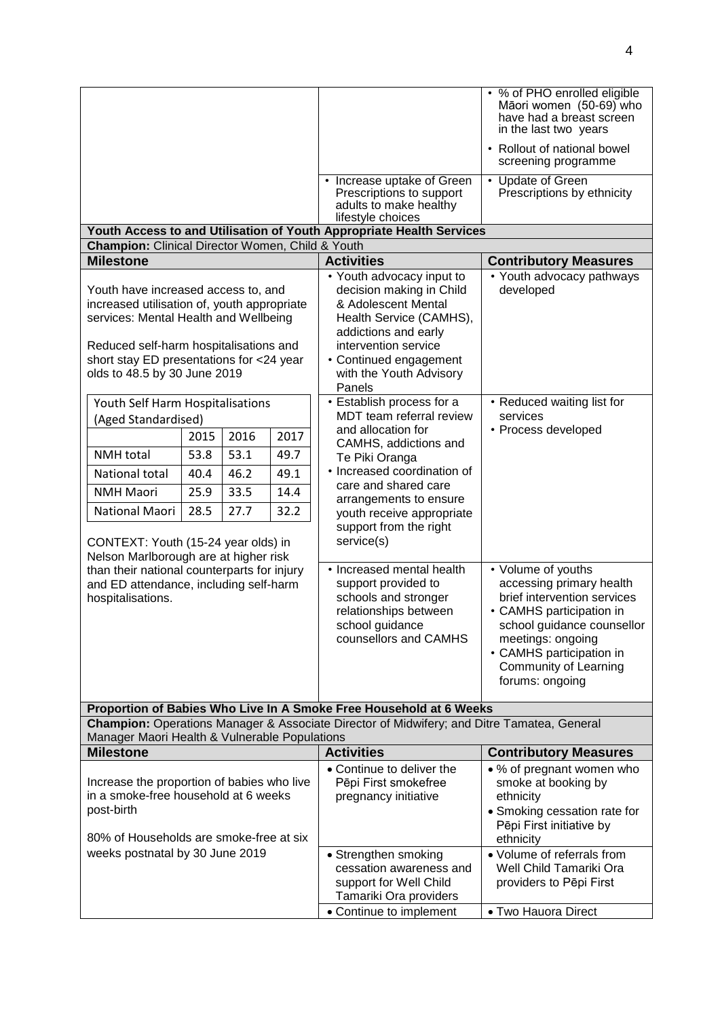|                                                                                                                                             |      |      |      |                                                                                                       | • % of PHO enrolled eligible<br>Māori women (50-69) who<br>have had a breast screen<br>in the last two years |  |  |  |
|---------------------------------------------------------------------------------------------------------------------------------------------|------|------|------|-------------------------------------------------------------------------------------------------------|--------------------------------------------------------------------------------------------------------------|--|--|--|
|                                                                                                                                             |      |      |      |                                                                                                       | • Rollout of national bowel<br>screening programme                                                           |  |  |  |
|                                                                                                                                             |      |      |      | • Increase uptake of Green<br>Prescriptions to support<br>adults to make healthy<br>lifestyle choices | • Update of Green<br>Prescriptions by ethnicity                                                              |  |  |  |
|                                                                                                                                             |      |      |      | Youth Access to and Utilisation of Youth Appropriate Health Services                                  |                                                                                                              |  |  |  |
| <b>Champion:</b> Clinical Director Women, Child & Youth                                                                                     |      |      |      |                                                                                                       |                                                                                                              |  |  |  |
| <b>Milestone</b>                                                                                                                            |      |      |      | <b>Activities</b>                                                                                     | <b>Contributory Measures</b>                                                                                 |  |  |  |
| Youth have increased access to, and<br>increased utilisation of, youth appropriate                                                          |      |      |      | • Youth advocacy input to<br>decision making in Child<br>& Adolescent Mental                          | • Youth advocacy pathways<br>developed                                                                       |  |  |  |
| services: Mental Health and Wellbeing                                                                                                       |      |      |      | Health Service (CAMHS),<br>addictions and early                                                       |                                                                                                              |  |  |  |
| Reduced self-harm hospitalisations and                                                                                                      |      |      |      | intervention service                                                                                  |                                                                                                              |  |  |  |
| short stay ED presentations for <24 year                                                                                                    |      |      |      | • Continued engagement                                                                                |                                                                                                              |  |  |  |
| olds to 48.5 by 30 June 2019                                                                                                                |      |      |      | with the Youth Advisory<br>Panels                                                                     |                                                                                                              |  |  |  |
| Youth Self Harm Hospitalisations                                                                                                            |      |      |      | • Establish process for a                                                                             | • Reduced waiting list for                                                                                   |  |  |  |
| (Aged Standardised)                                                                                                                         |      |      |      | MDT team referral review<br>and allocation for                                                        | services<br>• Process developed                                                                              |  |  |  |
|                                                                                                                                             | 2015 | 2016 | 2017 | CAMHS, addictions and                                                                                 |                                                                                                              |  |  |  |
| <b>NMH</b> total                                                                                                                            | 53.8 | 53.1 | 49.7 | Te Piki Oranga                                                                                        |                                                                                                              |  |  |  |
| National total                                                                                                                              | 40.4 | 46.2 | 49.1 | • Increased coordination of                                                                           |                                                                                                              |  |  |  |
| <b>NMH Maori</b>                                                                                                                            | 25.9 | 33.5 | 14.4 | care and shared care                                                                                  |                                                                                                              |  |  |  |
| National Maori                                                                                                                              | 28.5 | 27.7 | 32.2 | arrangements to ensure<br>youth receive appropriate<br>support from the right                         |                                                                                                              |  |  |  |
| CONTEXT: Youth (15-24 year olds) in                                                                                                         |      |      |      | service(s)                                                                                            |                                                                                                              |  |  |  |
| Nelson Marlborough are at higher risk                                                                                                       |      |      |      |                                                                                                       |                                                                                                              |  |  |  |
| than their national counterparts for injury                                                                                                 |      |      |      | • Increased mental health                                                                             | • Volume of youths                                                                                           |  |  |  |
| and ED attendance, including self-harm<br>hospitalisations.                                                                                 |      |      |      | support provided to<br>schools and stronger                                                           | accessing primary health<br>brief intervention services                                                      |  |  |  |
|                                                                                                                                             |      |      |      | relationships between                                                                                 | • CAMHS participation in                                                                                     |  |  |  |
|                                                                                                                                             |      |      |      | school guidance                                                                                       | school guidance counsellor                                                                                   |  |  |  |
|                                                                                                                                             |      |      |      | counsellors and CAMHS                                                                                 | meetings: ongoing                                                                                            |  |  |  |
|                                                                                                                                             |      |      |      |                                                                                                       | • CAMHS participation in                                                                                     |  |  |  |
|                                                                                                                                             |      |      |      |                                                                                                       | Community of Learning<br>forums: ongoing                                                                     |  |  |  |
|                                                                                                                                             |      |      |      |                                                                                                       |                                                                                                              |  |  |  |
| Proportion of Babies Who Live In A Smoke Free Household at 6 Weeks                                                                          |      |      |      |                                                                                                       |                                                                                                              |  |  |  |
| Champion: Operations Manager & Associate Director of Midwifery; and Ditre Tamatea, General<br>Manager Maori Health & Vulnerable Populations |      |      |      |                                                                                                       |                                                                                                              |  |  |  |
| <b>Milestone</b>                                                                                                                            |      |      |      | <b>Activities</b>                                                                                     | <b>Contributory Measures</b>                                                                                 |  |  |  |
|                                                                                                                                             |      |      |      | • Continue to deliver the                                                                             | • % of pregnant women who                                                                                    |  |  |  |
| Increase the proportion of babies who live<br>in a smoke-free household at 6 weeks                                                          |      |      |      | Pēpi First smokefree<br>pregnancy initiative                                                          | smoke at booking by<br>ethnicity                                                                             |  |  |  |
| post-birth                                                                                                                                  |      |      |      |                                                                                                       | • Smoking cessation rate for                                                                                 |  |  |  |
|                                                                                                                                             |      |      |      |                                                                                                       | Pēpi First initiative by                                                                                     |  |  |  |
| 80% of Households are smoke-free at six                                                                                                     |      |      |      |                                                                                                       | ethnicity                                                                                                    |  |  |  |
| weeks postnatal by 30 June 2019                                                                                                             |      |      |      | • Strengthen smoking                                                                                  | • Volume of referrals from                                                                                   |  |  |  |
|                                                                                                                                             |      |      |      | cessation awareness and<br>support for Well Child                                                     | Well Child Tamariki Ora<br>providers to Pēpi First                                                           |  |  |  |
|                                                                                                                                             |      |      |      | Tamariki Ora providers                                                                                |                                                                                                              |  |  |  |
|                                                                                                                                             |      |      |      | • Continue to implement                                                                               | • Two Hauora Direct                                                                                          |  |  |  |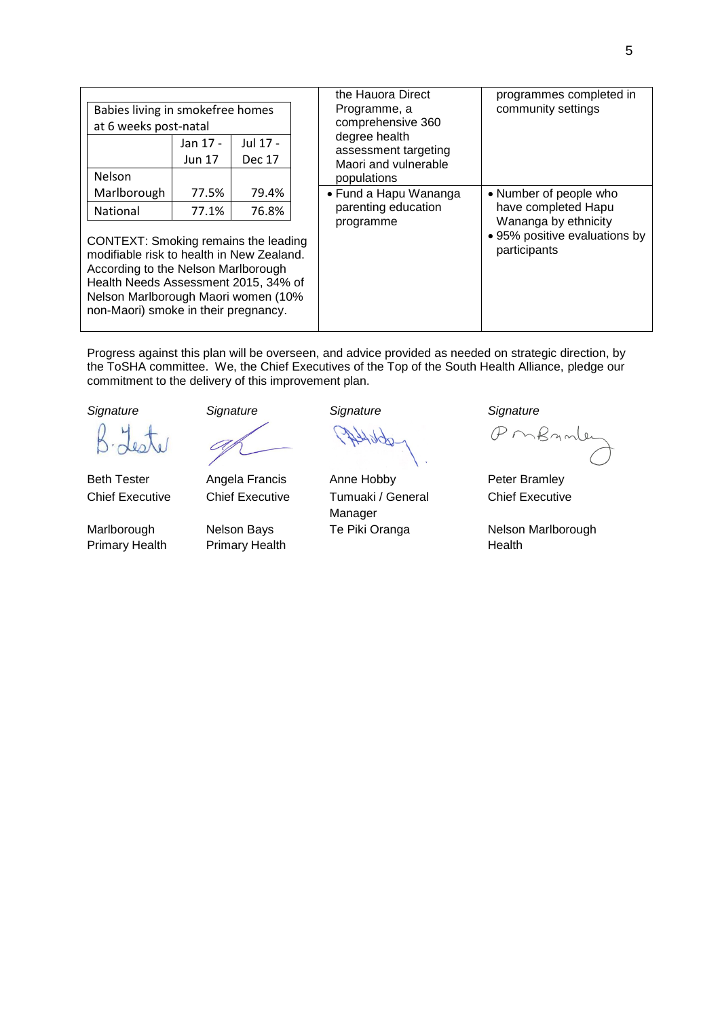| Babies living in smokefree homes |          |               |  |
|----------------------------------|----------|---------------|--|
| at 6 weeks post-natal            |          |               |  |
|                                  | Jan 17 - | Jul 17 -      |  |
|                                  | Jun 17   | <b>Dec 17</b> |  |
| Nelson                           |          |               |  |
| Marlborough                      | 77.5%    | 79.4%         |  |
| National                         | 77.1%    | 76.8%         |  |

CONTEXT: Smoking remains the leading modifiable risk to health in New Zealand. According to the Nelson Marlborough Health Needs Assessment 2015, 34% of Nelson Marlborough Maori women (10% non-Maori) smoke in their pregnancy.

| the Hauora Direct<br>Programme, a<br>comprehensive 360<br>degree health<br>assessment targeting<br>Maori and vulnerable<br>populations | programmes completed in<br>community settings                                                                          |
|----------------------------------------------------------------------------------------------------------------------------------------|------------------------------------------------------------------------------------------------------------------------|
| • Fund a Hapu Wananga<br>parenting education<br>programme                                                                              | • Number of people who<br>have completed Hapu<br>Wananga by ethnicity<br>• 95% positive evaluations by<br>participants |

Progress against this plan will be overseen, and advice provided as needed on strategic direction, by the ToSHA committee. We, the Chief Executives of the Top of the South Health Alliance, pledge our commitment to the delivery of this improvement plan.

Marlborough Primary Health



Nelson Bays Primary Health

*Signature Signature Signature Signature*

Beth Tester **Angela Francis** Anne Hobby **Peter Bramley** Chief Executive Chief Executive Tumuaki / General Manager

PMBAML

Chief Executive

Te Piki Oranga **Nelson Marlborough** Health